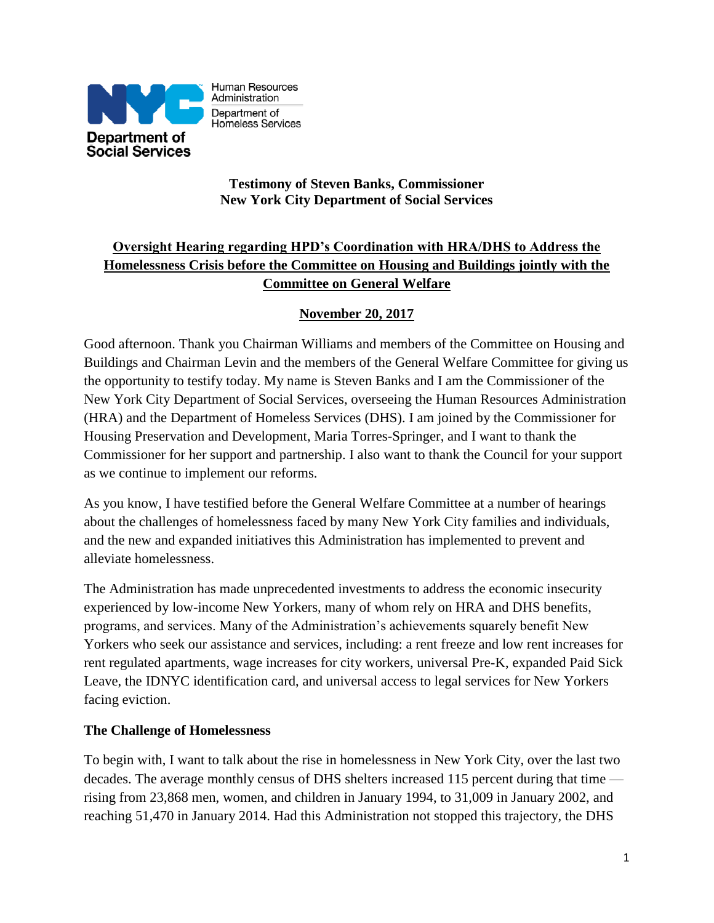

Human Resources Administration Department of Homeless Services

### **Testimony of Steven Banks, Commissioner New York City Department of Social Services**

# **Oversight Hearing regarding HPD's Coordination with HRA/DHS to Address the Homelessness Crisis before the Committee on Housing and Buildings jointly with the Committee on General Welfare**

# **November 20, 2017**

Good afternoon. Thank you Chairman Williams and members of the Committee on Housing and Buildings and Chairman Levin and the members of the General Welfare Committee for giving us the opportunity to testify today. My name is Steven Banks and I am the Commissioner of the New York City Department of Social Services, overseeing the Human Resources Administration (HRA) and the Department of Homeless Services (DHS). I am joined by the Commissioner for Housing Preservation and Development, Maria Torres-Springer, and I want to thank the Commissioner for her support and partnership. I also want to thank the Council for your support as we continue to implement our reforms.

As you know, I have testified before the General Welfare Committee at a number of hearings about the challenges of homelessness faced by many New York City families and individuals, and the new and expanded initiatives this Administration has implemented to prevent and alleviate homelessness.

The Administration has made unprecedented investments to address the economic insecurity experienced by low-income New Yorkers, many of whom rely on HRA and DHS benefits, programs, and services. Many of the Administration's achievements squarely benefit New Yorkers who seek our assistance and services, including: a rent freeze and low rent increases for rent regulated apartments, wage increases for city workers, universal Pre-K, expanded Paid Sick Leave, the IDNYC identification card, and universal access to legal services for New Yorkers facing eviction.

## **The Challenge of Homelessness**

To begin with, I want to talk about the rise in homelessness in New York City, over the last two decades. The average monthly census of DHS shelters increased 115 percent during that time rising from 23,868 men, women, and children in January 1994, to 31,009 in January 2002, and reaching 51,470 in January 2014. Had this Administration not stopped this trajectory, the DHS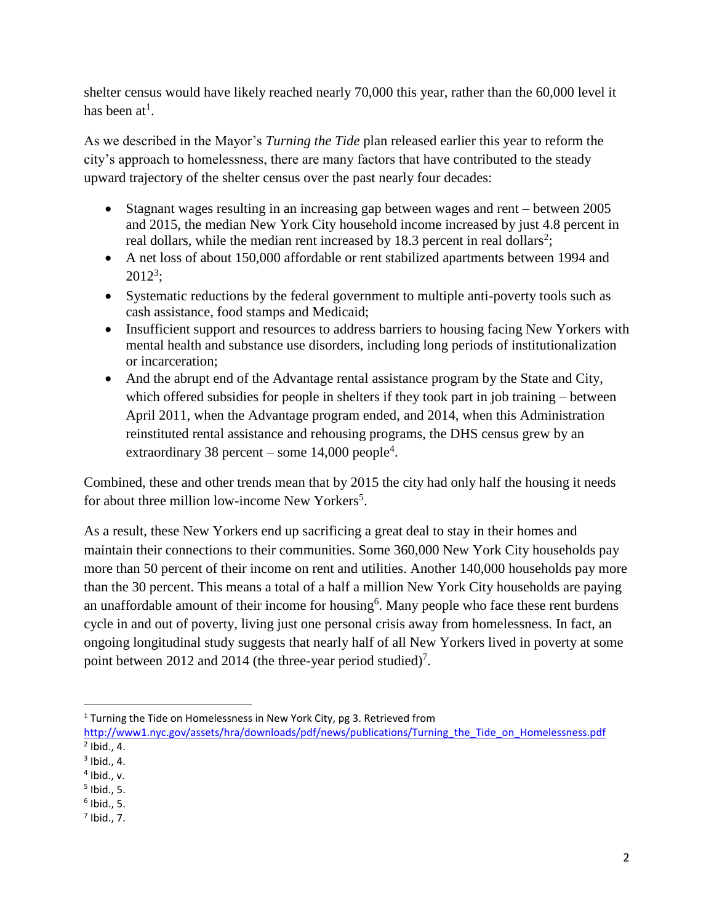shelter census would have likely reached nearly 70,000 this year, rather than the 60,000 level it has been at<sup>1</sup>.

As we described in the Mayor's *Turning the Tide* plan released earlier this year to reform the city's approach to homelessness, there are many factors that have contributed to the steady upward trajectory of the shelter census over the past nearly four decades:

- Stagnant wages resulting in an increasing gap between wages and rent between 2005 and 2015, the median New York City household income increased by just 4.8 percent in real dollars, while the median rent increased by 18.3 percent in real dollars<sup>2</sup>;
- A net loss of about 150,000 affordable or rent stabilized apartments between 1994 and 2012<sup>3</sup> ;
- Systematic reductions by the federal government to multiple anti-poverty tools such as cash assistance, food stamps and Medicaid;
- Insufficient support and resources to address barriers to housing facing New Yorkers with mental health and substance use disorders, including long periods of institutionalization or incarceration;
- And the abrupt end of the Advantage rental assistance program by the State and City, which offered subsidies for people in shelters if they took part in job training – between April 2011, when the Advantage program ended, and 2014, when this Administration reinstituted rental assistance and rehousing programs, the DHS census grew by an extraordinary 38 percent – some  $14,000$  people<sup>4</sup>.

Combined, these and other trends mean that by 2015 the city had only half the housing it needs for about three million low-income New Yorkers<sup>5</sup>.

As a result, these New Yorkers end up sacrificing a great deal to stay in their homes and maintain their connections to their communities. Some 360,000 New York City households pay more than 50 percent of their income on rent and utilities. Another 140,000 households pay more than the 30 percent. This means a total of a half a million New York City households are paying an unaffordable amount of their income for housing<sup>6</sup>. Many people who face these rent burdens cycle in and out of poverty, living just one personal crisis away from homelessness. In fact, an ongoing longitudinal study suggests that nearly half of all New Yorkers lived in poverty at some point between 2012 and 2014 (the three-year period studied)<sup>7</sup>.

 $\overline{\phantom{a}}$ <sup>1</sup> Turning the Tide on Homelessness in New York City, pg 3. Retrieved from

http://www1.nyc.gov/assets/hra/downloads/pdf/news/publications/Turning the Tide on Homelessness.pdf  $<sup>2</sup>$  Ibid., 4.</sup>

 $<sup>3</sup>$  Ibid., 4.</sup>

<sup>4</sup> Ibid., v.

<sup>5</sup> Ibid., 5.

<sup>6</sup> Ibid., 5.

 $<sup>7</sup>$  Ibid., 7.</sup>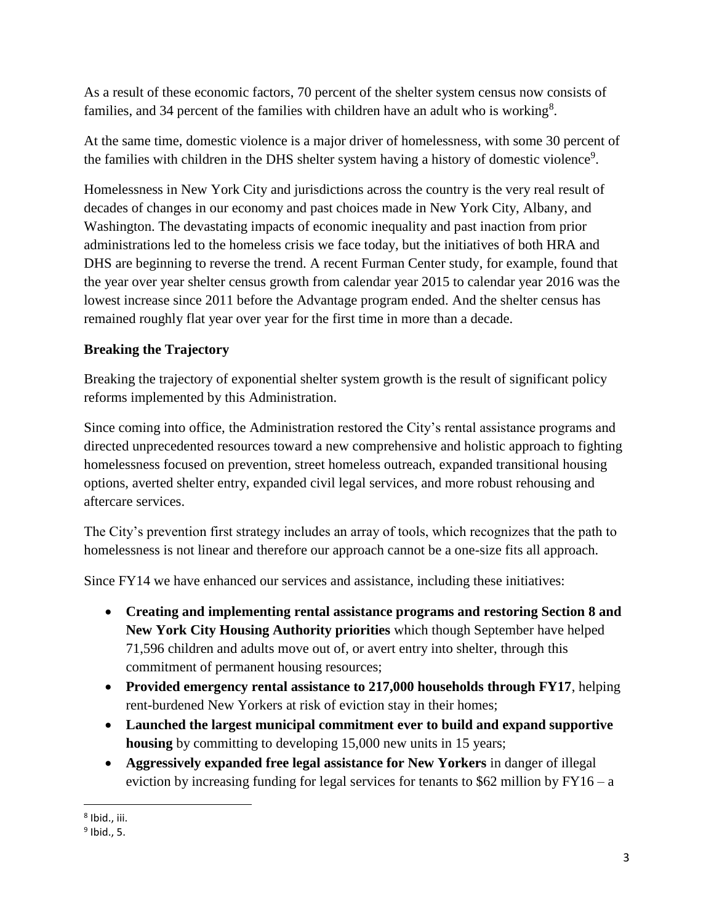As a result of these economic factors, 70 percent of the shelter system census now consists of families, and 34 percent of the families with children have an adult who is working<sup>8</sup>.

At the same time, domestic violence is a major driver of homelessness, with some 30 percent of the families with children in the DHS shelter system having a history of domestic violence<sup>9</sup>.

Homelessness in New York City and jurisdictions across the country is the very real result of decades of changes in our economy and past choices made in New York City, Albany, and Washington. The devastating impacts of economic inequality and past inaction from prior administrations led to the homeless crisis we face today, but the initiatives of both HRA and DHS are beginning to reverse the trend. A recent Furman Center study, for example, found that the year over year shelter census growth from calendar year 2015 to calendar year 2016 was the lowest increase since 2011 before the Advantage program ended. And the shelter census has remained roughly flat year over year for the first time in more than a decade.

# **Breaking the Trajectory**

Breaking the trajectory of exponential shelter system growth is the result of significant policy reforms implemented by this Administration.

Since coming into office, the Administration restored the City's rental assistance programs and directed unprecedented resources toward a new comprehensive and holistic approach to fighting homelessness focused on prevention, street homeless outreach, expanded transitional housing options, averted shelter entry, expanded civil legal services, and more robust rehousing and aftercare services.

The City's prevention first strategy includes an array of tools, which recognizes that the path to homelessness is not linear and therefore our approach cannot be a one-size fits all approach.

Since FY14 we have enhanced our services and assistance, including these initiatives:

- **Creating and implementing rental assistance programs and restoring Section 8 and New York City Housing Authority priorities** which though September have helped 71,596 children and adults move out of, or avert entry into shelter, through this commitment of permanent housing resources;
- **Provided emergency rental assistance to 217,000 households through FY17**, helping rent-burdened New Yorkers at risk of eviction stay in their homes;
- **Launched the largest municipal commitment ever to build and expand supportive housing** by committing to developing 15,000 new units in 15 years;
- **Aggressively expanded free legal assistance for New Yorkers** in danger of illegal eviction by increasing funding for legal services for tenants to  $$62$  million by FY16 – a

l 8 Ibid., iii.

<sup>&</sup>lt;sup>9</sup> Ibid., 5.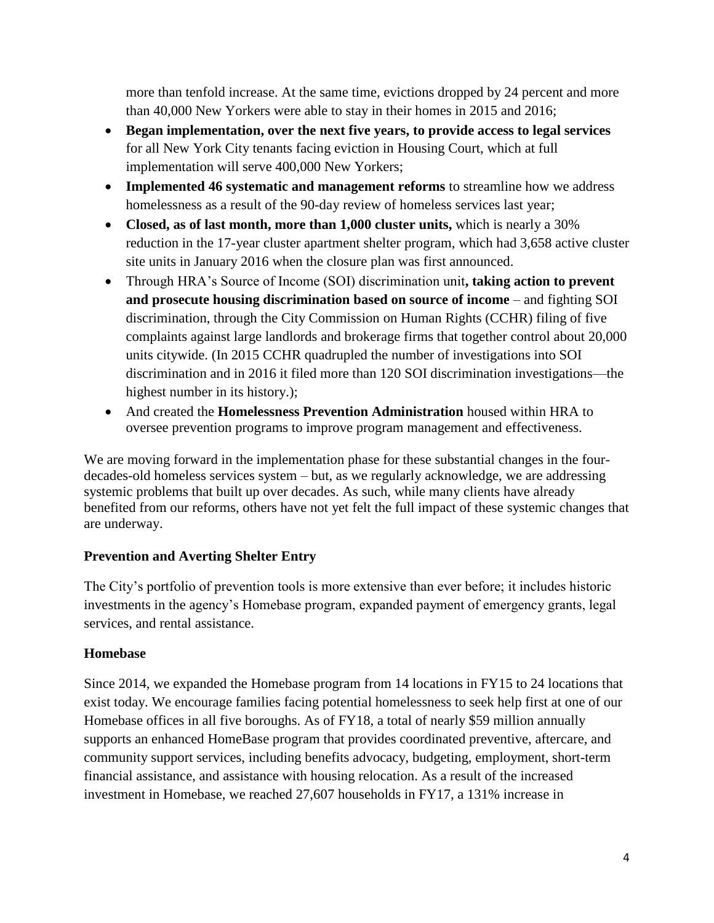more than tenfold increase. At the same time, evictions dropped by 24 percent and more than 40,000 New Yorkers were able to stay in their homes in 2015 and 2016;

- **Began implementation, over the next five years, to provide access to legal services**  for all New York City tenants facing eviction in Housing Court, which at full implementation will serve 400,000 New Yorkers;
- **Implemented 46 systematic and management reforms** to streamline how we address homelessness as a result of the 90-day review of homeless services last year;
- Closed, as of last month, more than 1,000 cluster units, which is nearly a 30% reduction in the 17-year cluster apartment shelter program, which had 3,658 active cluster site units in January 2016 when the closure plan was first announced.
- Through HRA's Source of Income (SOI) discrimination unit**, taking action to prevent and prosecute housing discrimination based on source of income** – and fighting SOI discrimination, through the City Commission on Human Rights (CCHR) filing of five complaints against large landlords and brokerage firms that together control about 20,000 units citywide. (In 2015 CCHR quadrupled the number of investigations into SOI discrimination and in 2016 it filed more than 120 SOI discrimination investigations—the highest number in its history.);
- And created the **Homelessness Prevention Administration** housed within HRA to oversee prevention programs to improve program management and effectiveness.

We are moving forward in the implementation phase for these substantial changes in the fourdecades-old homeless services system – but, as we regularly acknowledge, we are addressing systemic problems that built up over decades. As such, while many clients have already benefited from our reforms, others have not yet felt the full impact of these systemic changes that are underway.

## **Prevention and Averting Shelter Entry**

The City's portfolio of prevention tools is more extensive than ever before; it includes historic investments in the agency's Homebase program, expanded payment of emergency grants, legal services, and rental assistance.

## **Homebase**

Since 2014, we expanded the Homebase program from 14 locations in FY15 to 24 locations that exist today. We encourage families facing potential homelessness to seek help first at one of our Homebase offices in all five boroughs. As of FY18, a total of nearly \$59 million annually supports an enhanced HomeBase program that provides coordinated preventive, aftercare, and community support services, including benefits advocacy, budgeting, employment, short-term financial assistance, and assistance with housing relocation. As a result of the increased investment in Homebase, we reached 27,607 households in FY17, a 131% increase in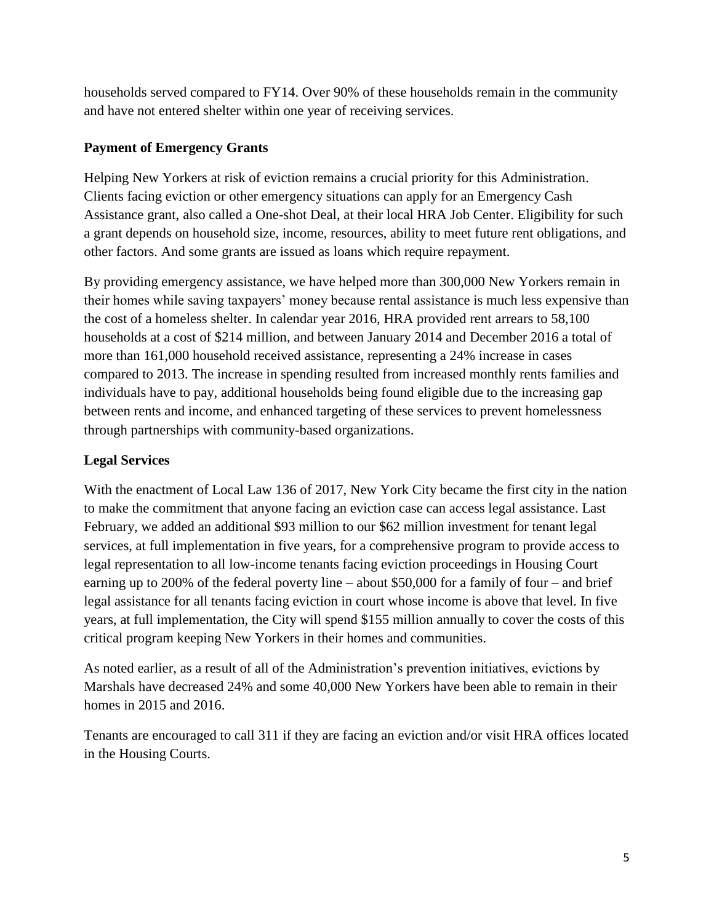households served compared to FY14. Over 90% of these households remain in the community and have not entered shelter within one year of receiving services.

### **Payment of Emergency Grants**

Helping New Yorkers at risk of eviction remains a crucial priority for this Administration. Clients facing eviction or other emergency situations can apply for an Emergency Cash Assistance grant, also called a One-shot Deal, at their local HRA Job Center. Eligibility for such a grant depends on household size, income, resources, ability to meet future rent obligations, and other factors. And some grants are issued as loans which require repayment.

By providing emergency assistance, we have helped more than 300,000 New Yorkers remain in their homes while saving taxpayers' money because rental assistance is much less expensive than the cost of a homeless shelter. In calendar year 2016, HRA provided rent arrears to 58,100 households at a cost of \$214 million, and between January 2014 and December 2016 a total of more than 161,000 household received assistance, representing a 24% increase in cases compared to 2013. The increase in spending resulted from increased monthly rents families and individuals have to pay, additional households being found eligible due to the increasing gap between rents and income, and enhanced targeting of these services to prevent homelessness through partnerships with community-based organizations.

## **Legal Services**

With the enactment of Local Law 136 of 2017, New York City became the first city in the nation to make the commitment that anyone facing an eviction case can access legal assistance. Last February, we added an additional \$93 million to our \$62 million investment for tenant legal services, at full implementation in five years, for a comprehensive program to provide access to legal representation to all low-income tenants facing eviction proceedings in Housing Court earning up to 200% of the federal poverty line – about \$50,000 for a family of four – and brief legal assistance for all tenants facing eviction in court whose income is above that level. In five years, at full implementation, the City will spend \$155 million annually to cover the costs of this critical program keeping New Yorkers in their homes and communities.

As noted earlier, as a result of all of the Administration's prevention initiatives, evictions by Marshals have decreased 24% and some 40,000 New Yorkers have been able to remain in their homes in 2015 and 2016.

Tenants are encouraged to call 311 if they are facing an eviction and/or visit HRA offices located in the Housing Courts.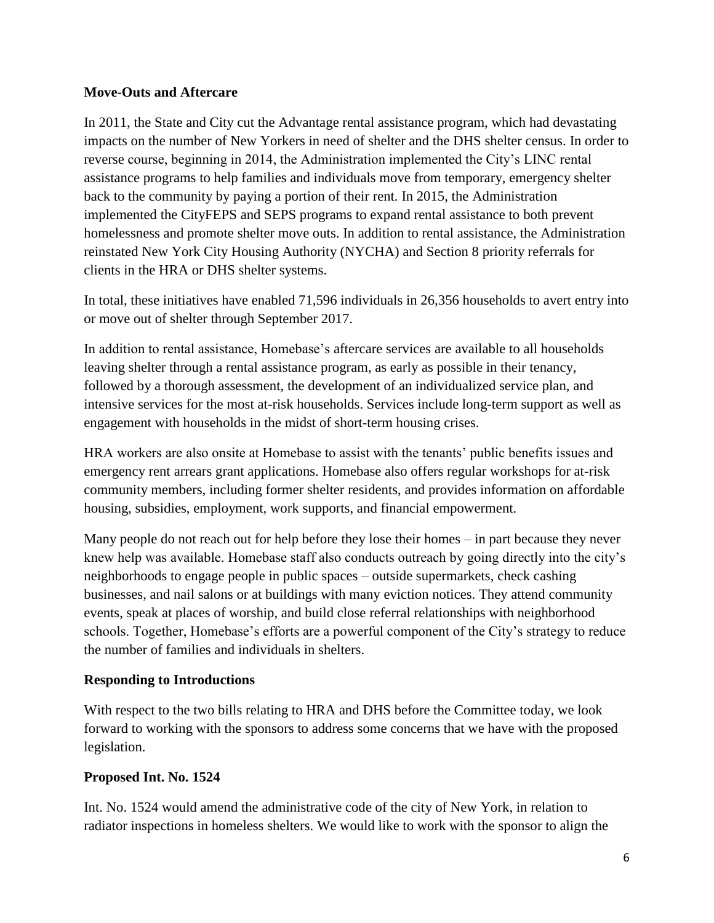#### **Move-Outs and Aftercare**

In 2011, the State and City cut the Advantage rental assistance program, which had devastating impacts on the number of New Yorkers in need of shelter and the DHS shelter census. In order to reverse course, beginning in 2014, the Administration implemented the City's LINC rental assistance programs to help families and individuals move from temporary, emergency shelter back to the community by paying a portion of their rent. In 2015, the Administration implemented the CityFEPS and SEPS programs to expand rental assistance to both prevent homelessness and promote shelter move outs. In addition to rental assistance, the Administration reinstated New York City Housing Authority (NYCHA) and Section 8 priority referrals for clients in the HRA or DHS shelter systems.

In total, these initiatives have enabled 71,596 individuals in 26,356 households to avert entry into or move out of shelter through September 2017.

In addition to rental assistance, Homebase's aftercare services are available to all households leaving shelter through a rental assistance program, as early as possible in their tenancy, followed by a thorough assessment, the development of an individualized service plan, and intensive services for the most at-risk households. Services include long-term support as well as engagement with households in the midst of short-term housing crises.

HRA workers are also onsite at Homebase to assist with the tenants' public benefits issues and emergency rent arrears grant applications. Homebase also offers regular workshops for at-risk community members, including former shelter residents, and provides information on affordable housing, subsidies, employment, work supports, and financial empowerment.

Many people do not reach out for help before they lose their homes – in part because they never knew help was available. Homebase staff also conducts outreach by going directly into the city's neighborhoods to engage people in public spaces – outside supermarkets, check cashing businesses, and nail salons or at buildings with many eviction notices. They attend community events, speak at places of worship, and build close referral relationships with neighborhood schools. Together, Homebase's efforts are a powerful component of the City's strategy to reduce the number of families and individuals in shelters.

#### **Responding to Introductions**

With respect to the two bills relating to HRA and DHS before the Committee today, we look forward to working with the sponsors to address some concerns that we have with the proposed legislation.

#### **Proposed Int. No. 1524**

Int. No. 1524 would amend the administrative code of the city of New York, in relation to radiator inspections in homeless shelters. We would like to work with the sponsor to align the